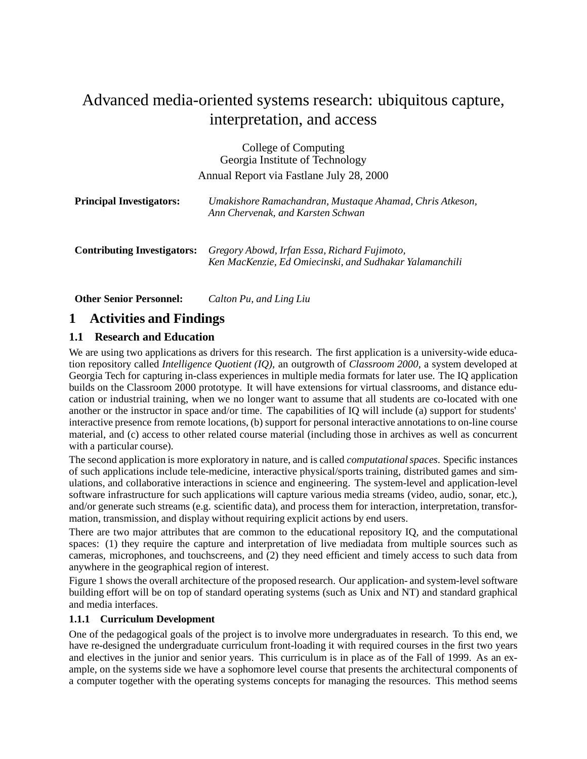# Advanced media-oriented systems research: ubiquitous capture, interpretation, and access

| College of Computing<br>Georgia Institute of Technology<br>Annual Report via Fastlane July 28, 2000 |                                                                                                         |
|-----------------------------------------------------------------------------------------------------|---------------------------------------------------------------------------------------------------------|
| <b>Principal Investigators:</b>                                                                     | Umakishore Ramachandran, Mustaque Ahamad, Chris Atkeson,<br>Ann Chervenak, and Karsten Schwan           |
| <b>Contributing Investigators:</b>                                                                  | Gregory Abowd, Irfan Essa, Richard Fujimoto,<br>Ken MacKenzie, Ed Omiecinski, and Sudhakar Yalamanchili |

**Other Senior Personnel:** *Calton Pu, and Ling Liu*

## **1 Activities and Findings**

#### **1.1 Research and Education**

We are using two applications as drivers for this research. The first application is a university-wide education repository called *Intelligence Quotient (IQ)*, an outgrowth of *Classroom 2000*, a system developed at Georgia Tech for capturing in-class experiences in multiple media formats for later use. The IQ application builds on the Classroom 2000 prototype. It will have extensions for virtual classrooms, and distance education or industrial training, when we no longer want to assume that all students are co-located with one another or the instructor in space and/or time. The capabilities of IQ will include (a) support for students' interactive presence from remote locations, (b) support for personal interactive annotations to on-line course material, and (c) access to other related course material (including those in archives as well as concurrent with a particular course).

The second application is more exploratory in nature, and is called *computational spaces*. Specific instances of such applications include tele-medicine, interactive physical/sports training, distributed games and simulations, and collaborative interactions in science and engineering. The system-level and application-level software infrastructure for such applications will capture various media streams (video, audio, sonar, etc.), and/or generate such streams (e.g. scientific data), and process them for interaction, interpretation, transformation, transmission, and display without requiring explicit actions by end users.

There are two major attributes that are common to the educational repository IQ, and the computational spaces: (1) they require the capture and interpretation of live mediadata from multiple sources such as cameras, microphones, and touchscreens, and (2) they need efficient and timely access to such data from anywhere in the geographical region of interest.

Figure 1 shows the overall architecture of the proposed research. Our application- and system-level software building effort will be on top of standard operating systems (such as Unix and NT) and standard graphical and media interfaces.

#### **1.1.1 Curriculum Development**

One of the pedagogical goals of the project is to involve more undergraduates in research. To this end, we have re-designed the undergraduate curriculum front-loading it with required courses in the first two years and electives in the junior and senior years. This curriculum is in place as of the Fall of 1999. As an example, on the systems side we have a sophomore level course that presents the architectural components of a computer together with the operating systems concepts for managing the resources. This method seems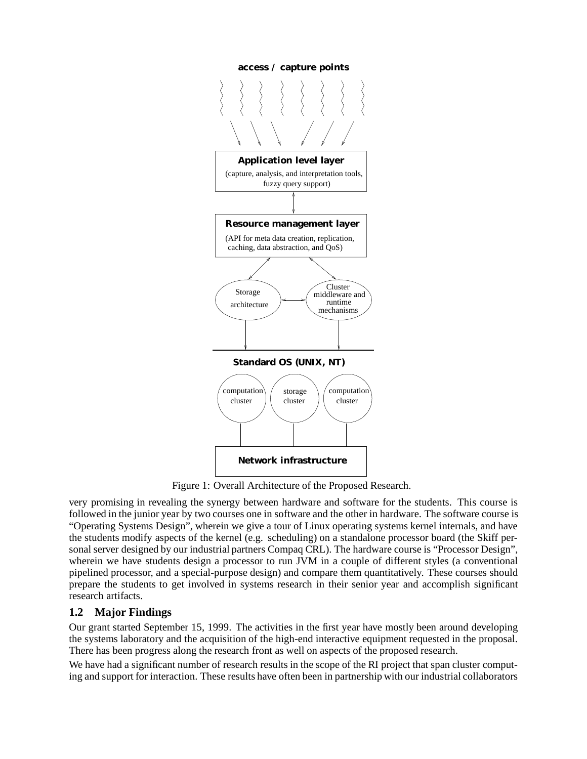

Figure 1: Overall Architecture of the Proposed Research.

very promising in revealing the synergy between hardware and software for the students. This course is followed in the junior year by two courses one in software and the other in hardware. The software course is "Operating Systems Design", wherein we give a tour of Linux operating systems kernel internals, and have the students modify aspects of the kernel (e.g. scheduling) on a standalone processor board (the Skiff personal server designed by our industrial partners Compaq CRL). The hardware course is "Processor Design", wherein we have students design a processor to run JVM in a couple of different styles (a conventional pipelined processor, and a special-purpose design) and compare them quantitatively. These courses should prepare the students to get involved in systems research in their senior year and accomplish significant research artifacts.

## **1.2 Major Findings**

Our grant started September 15, 1999. The activities in the first year have mostly been around developing the systems laboratory and the acquisition of the high-end interactive equipment requested in the proposal. There has been progress along the research front as well on aspects of the proposed research.

We have had a significant number of research results in the scope of the RI project that span cluster computing and support for interaction. These results have often been in partnership with our industrial collaborators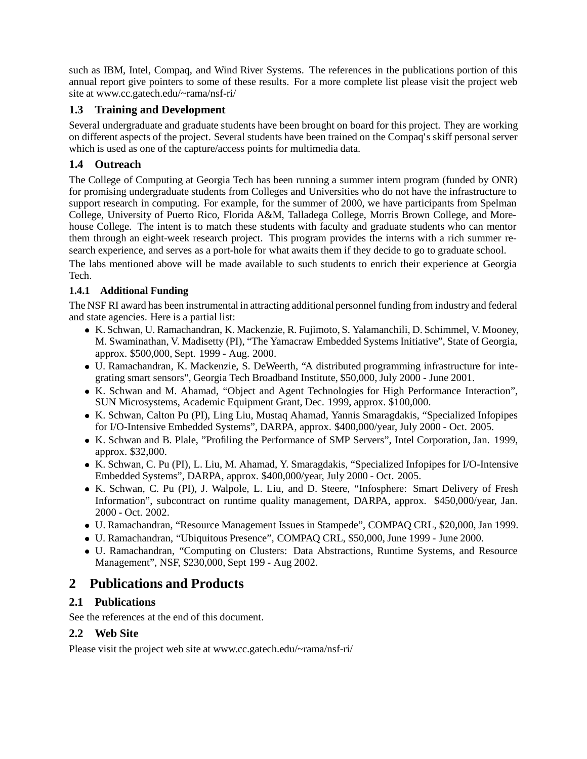such as IBM, Intel, Compaq, and Wind River Systems. The references in the publications portion of this annual report give pointers to some of these results. For a more complete list please visit the project web site at www.cc.gatech.edu/~rama/nsf-ri/

### **1.3 Training and Development**

Several undergraduate and graduate students have been brought on board for this project. They are working on different aspects of the project. Several students have been trained on the Compaq's skiff personal server which is used as one of the capture/access points for multimedia data.

## **1.4 Outreach**

The College of Computing at Georgia Tech has been running a summer intern program (funded by ONR) for promising undergraduate students from Colleges and Universities who do not have the infrastructure to support research in computing. For example, for the summer of 2000, we have participants from Spelman College, University of Puerto Rico, Florida A&M, Talladega College, Morris Brown College, and Morehouse College. The intent is to match these students with faculty and graduate students who can mentor them through an eight-week research project. This program provides the interns with a rich summer research experience, and serves as a port-hole for what awaits them if they decide to go to graduate school.

The labs mentioned above will be made available to such students to enrich their experience at Georgia Tech.

### **1.4.1 Additional Funding**

The NSF RI award has been instrumental in attracting additional personnel funding from industry and federal and state agencies. Here is a partial list:

- K. Schwan, U. Ramachandran, K. Mackenzie, R. Fujimoto, S. Yalamanchili, D. Schimmel, V. Mooney, M. Swaminathan, V. Madisetty (PI), "The Yamacraw Embedded Systems Initiative", State of Georgia, approx. \$500,000, Sept. 1999 - Aug. 2000.
- U. Ramachandran, K. Mackenzie, S. DeWeerth, "A distributed programming infrastructure for integrating smart sensors", Georgia Tech Broadband Institute, \$50,000, July 2000 - June 2001.
- K. Schwan and M. Ahamad, "Object and Agent Technologies for High Performance Interaction", SUN Microsystems, Academic Equipment Grant, Dec. 1999, approx. \$100,000.
- K. Schwan, Calton Pu (PI), Ling Liu, Mustaq Ahamad, Yannis Smaragdakis, "Specialized Infopipes for I/O-Intensive Embedded Systems", DARPA, approx. \$400,000/year, July 2000 - Oct. 2005.
- K. Schwan and B. Plale, "Profiling the Performance of SMP Servers", Intel Corporation, Jan. 1999, approx. \$32,000.
- K. Schwan, C. Pu (PI), L. Liu, M. Ahamad, Y. Smaragdakis, "Specialized Infopipes for I/O-Intensive Embedded Systems", DARPA, approx. \$400,000/year, July 2000 - Oct. 2005.
- K. Schwan, C. Pu (PI), J. Walpole, L. Liu, and D. Steere, "Infosphere: Smart Delivery of Fresh Information", subcontract on runtime quality management, DARPA, approx. \$450,000/year, Jan. 2000 - Oct. 2002.
- U. Ramachandran, "Resource Management Issues in Stampede", COMPAQ CRL, \$20,000, Jan 1999.
- U. Ramachandran, "Ubiquitous Presence", COMPAQ CRL, \$50,000, June 1999 June 2000.
- U. Ramachandran, "Computing on Clusters: Data Abstractions, Runtime Systems, and Resource Management", NSF, \$230,000, Sept 199 - Aug 2002.

## **2 Publications and Products**

## **2.1 Publications**

See the references at the end of this document.

### **2.2 Web Site**

Please visit the project web site at www.cc.gatech.edu/~rama/nsf-ri/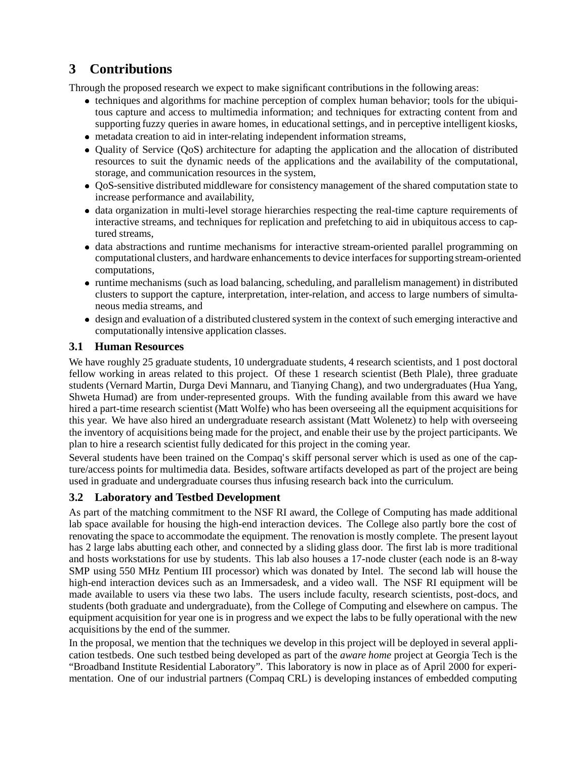## **3 Contributions**

Through the proposed research we expect to make significant contributions in the following areas:

- techniques and algorithms for machine perception of complex human behavior; tools for the ubiquitous capture and access to multimedia information; and techniques for extracting content from and supporting fuzzy queries in aware homes, in educational settings, and in perceptive intelligent kiosks,
- metadata creation to aid in inter-relating independent information streams,
- Quality of Service (QoS) architecture for adapting the application and the allocation of distributed resources to suit the dynamic needs of the applications and the availability of the computational, storage, and communication resources in the system,
- QoS-sensitive distributed middleware for consistency management of the shared computation state to increase performance and availability,
- data organization in multi-level storage hierarchies respecting the real-time capture requirements of interactive streams, and techniques for replication and prefetching to aid in ubiquitous access to captured streams,
- data abstractions and runtime mechanisms for interactive stream-oriented parallel programming on computational clusters, and hardware enhancements to device interfaces for supporting stream-oriented computations,
- runtime mechanisms (such as load balancing, scheduling, and parallelism management) in distributed clusters to support the capture, interpretation, inter-relation, and access to large numbers of simultaneous media streams, and
- design and evaluation of a distributed clustered system in the context of such emerging interactive and computationally intensive application classes.

#### **3.1 Human Resources**

We have roughly 25 graduate students, 10 undergraduate students, 4 research scientists, and 1 post doctoral fellow working in areas related to this project. Of these 1 research scientist (Beth Plale), three graduate students (Vernard Martin, Durga Devi Mannaru, and Tianying Chang), and two undergraduates (Hua Yang, Shweta Humad) are from under-represented groups. With the funding available from this award we have hired a part-time research scientist (Matt Wolfe) who has been overseeing all the equipment acquisitions for this year. We have also hired an undergraduate research assistant (Matt Wolenetz) to help with overseeing the inventory of acquisitions being made for the project, and enable their use by the project participants. We plan to hire a research scientist fully dedicated for this project in the coming year.

Several students have been trained on the Compaq's skiff personal server which is used as one of the capture/access points for multimedia data. Besides, software artifacts developed as part of the project are being used in graduate and undergraduate courses thus infusing research back into the curriculum.

#### **3.2 Laboratory and Testbed Development**

As part of the matching commitment to the NSF RI award, the College of Computing has made additional lab space available for housing the high-end interaction devices. The College also partly bore the cost of renovating the space to accommodate the equipment. The renovation is mostly complete. The present layout has 2 large labs abutting each other, and connected by a sliding glass door. The first lab is more traditional and hosts workstations for use by students. This lab also houses a 17-node cluster (each node is an 8-way SMP using 550 MHz Pentium III processor) which was donated by Intel. The second lab will house the high-end interaction devices such as an Immersadesk, and a video wall. The NSF RI equipment will be made available to users via these two labs. The users include faculty, research scientists, post-docs, and students (both graduate and undergraduate), from the College of Computing and elsewhere on campus. The equipment acquisition for year one is in progress and we expect the labs to be fully operational with the new acquisitions by the end of the summer.

In the proposal, we mention that the techniques we develop in this project will be deployed in several application testbeds. One such testbed being developed as part of the *aware home* project at Georgia Tech is the "Broadband Institute Residential Laboratory". This laboratory is now in place as of April 2000 for experimentation. One of our industrial partners (Compaq CRL) is developing instances of embedded computing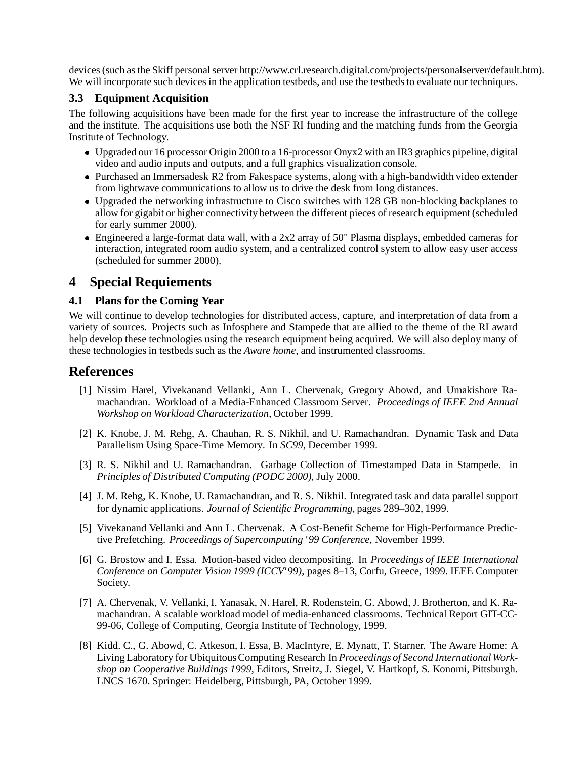devices (such as the Skiff personal server http://www.crl.research.digital.com/projects/personalserver/default.htm). We will incorporate such devices in the application testbeds, and use the testbeds to evaluate our techniques.

#### **3.3 Equipment Acquisition**

The following acquisitions have been made for the first year to increase the infrastructure of the college and the institute. The acquisitions use both the NSF RI funding and the matching funds from the Georgia Institute of Technology.

- Upgraded our 16 processor Origin 2000 to a 16-processor Onyx2 with an IR3 graphics pipeline, digital video and audio inputs and outputs, and a full graphics visualization console.
- Purchased an Immersadesk R2 from Fakespace systems, along with a high-bandwidth video extender from lightwave communications to allow us to drive the desk from long distances.
- Upgraded the networking infrastructure to Cisco switches with 128 GB non-blocking backplanes to allow for gigabit or higher connectivity between the different pieces of research equipment (scheduled for early summer 2000).
- Engineered a large-format data wall, with a 2x2 array of 50" Plasma displays, embedded cameras for interaction, integrated room audio system, and a centralized control system to allow easy user access (scheduled for summer 2000).

## **4 Special Requiements**

#### **4.1 Plans for the Coming Year**

We will continue to develop technologies for distributed access, capture, and interpretation of data from a variety of sources. Projects such as Infosphere and Stampede that are allied to the theme of the RI award help develop these technologies using the research equipment being acquired. We will also deploy many of these technologies in testbeds such as the *Aware home*, and instrumented classrooms.

## **References**

- [1] Nissim Harel, Vivekanand Vellanki, Ann L. Chervenak, Gregory Abowd, and Umakishore Ramachandran. Workload of a Media-Enhanced Classroom Server. *Proceedings of IEEE 2nd Annual Workshop on Workload Characterization*, October 1999.
- [2] K. Knobe, J. M. Rehg, A. Chauhan, R. S. Nikhil, and U. Ramachandran. Dynamic Task and Data Parallelism Using Space-Time Memory. In *SC99*, December 1999.
- [3] R. S. Nikhil and U. Ramachandran. Garbage Collection of Timestamped Data in Stampede. in *Principles of Distributed Computing (PODC 2000)*, July 2000.
- [4] J. M. Rehg, K. Knobe, U. Ramachandran, and R. S. Nikhil. Integrated task and data parallel support for dynamic applications. *Journal of Scientific Programming*, pages 289–302, 1999.
- [5] Vivekanand Vellanki and Ann L. Chervenak. A Cost-Benefit Scheme for High-Performance Predictive Prefetching. *Proceedings of Supercomputing '99 Conference*, November 1999.
- [6] G. Brostow and I. Essa. Motion-based video decompositing. In *Proceedings of IEEE International Conference on Computer Vision 1999 (ICCV'99)*, pages 8–13, Corfu, Greece, 1999. IEEE Computer Society.
- [7] A. Chervenak, V. Vellanki, I. Yanasak, N. Harel, R. Rodenstein, G. Abowd, J. Brotherton, and K. Ramachandran. A scalable workload model of media-enhanced classrooms. Technical Report GIT-CC-99-06, College of Computing, Georgia Institute of Technology, 1999.
- [8] Kidd. C., G. Abowd, C. Atkeson, I. Essa, B. MacIntyre, E. Mynatt, T. Starner. The Aware Home: A Living Laboratory for Ubiquitous Computing Research In *Proceedings of Second International Workshop on Cooperative Buildings 1999*, Editors, Streitz, J. Siegel, V. Hartkopf, S. Konomi, Pittsburgh. LNCS 1670. Springer: Heidelberg, Pittsburgh, PA, October 1999.